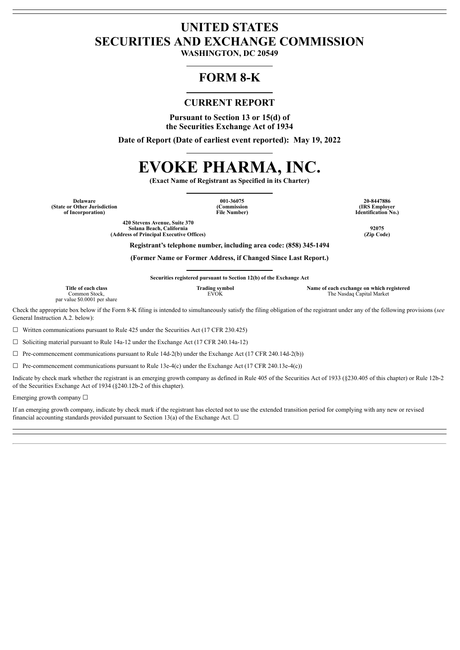# **UNITED STATES SECURITIES AND EXCHANGE COMMISSION**

**WASHINGTON, DC 20549**

# **FORM 8-K**

# **CURRENT REPORT**

**Pursuant to Section 13 or 15(d) of the Securities Exchange Act of 1934**

**Date of Report (Date of earliest event reported): May 19, 2022**

# **EVOKE PHARMA, INC.**

**(Exact Name of Registrant as Specified in its Charter)**

**Delaware 001-36075 20-8447886 (State or Other Jurisdiction of Incorporation)**

**(Commission File Number)**

**(IRS Employer Identification No.)**

**420 Stevens Avenue, Suite 370 Solana Beach, California 92075**<br> **Solana Beach, California 92075**<br> **192075**<br> **192076**<br> **192076 (Address of Principal Executive Offices) (Zip Code)**

**Registrant's telephone number, including area code: (858) 345-1494**

**(Former Name or Former Address, if Changed Since Last Report.)**

**Securities registered pursuant to Section 12(b) of the Exchange Act**

| Title of each class | Trading symbol | Name of each exchange on which registered |
|---------------------|----------------|-------------------------------------------|
| 'ommon Stock.<br>.  | <b>EVOK</b>    | The Nasdag Capital Market                 |

par value \$0.0001 per share

Check the appropriate box below if the Form 8-K filing is intended to simultaneously satisfy the filing obligation of the registrant under any of the following provisions (*see* General Instruction A.2. below):

 $\Box$  Written communications pursuant to Rule 425 under the Securities Act (17 CFR 230.425)

☐ Soliciting material pursuant to Rule 14a-12 under the Exchange Act (17 CFR 240.14a-12)

 $\Box$  Pre-commencement communications pursuant to Rule 14d-2(b) under the Exchange Act (17 CFR 240.14d-2(b))

 $\Box$  Pre-commencement communications pursuant to Rule 13e-4(c) under the Exchange Act (17 CFR 240.13e-4(c))

Indicate by check mark whether the registrant is an emerging growth company as defined in Rule 405 of the Securities Act of 1933 (§230.405 of this chapter) or Rule 12b-2 of the Securities Exchange Act of 1934 (§240.12b-2 of this chapter).

Emerging growth company  $\Box$ 

If an emerging growth company, indicate by check mark if the registrant has elected not to use the extended transition period for complying with any new or revised financial accounting standards provided pursuant to Section 13(a) of the Exchange Act.  $\Box$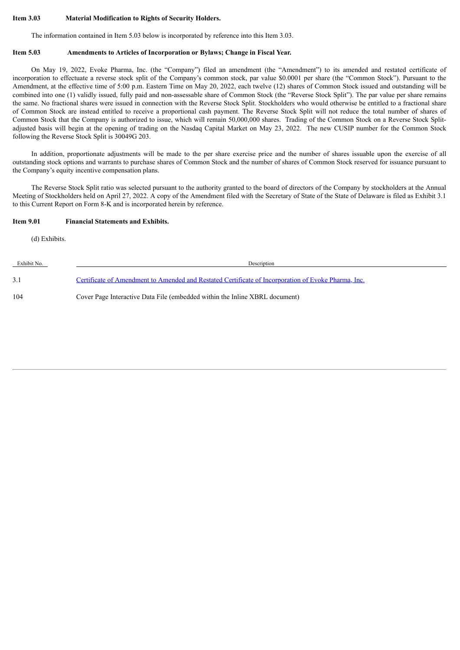### **Item 3.03 Material Modification to Rights of Security Holders.**

The information contained in Item 5.03 below is incorporated by reference into this Item 3.03.

#### **Item 5.03 Amendments to Articles of Incorporation or Bylaws; Change in Fiscal Year.**

On May 19, 2022, Evoke Pharma, Inc. (the "Company") filed an amendment (the "Amendment") to its amended and restated certificate of incorporation to effectuate a reverse stock split of the Company's common stock, par value \$0.0001 per share (the "Common Stock"). Pursuant to the Amendment, at the effective time of 5:00 p.m. Eastern Time on May 20, 2022, each twelve (12) shares of Common Stock issued and outstanding will be combined into one (1) validly issued, fully paid and non-assessable share of Common Stock (the "Reverse Stock Split"). The par value per share remains the same. No fractional shares were issued in connection with the Reverse Stock Split. Stockholders who would otherwise be entitled to a fractional share of Common Stock are instead entitled to receive a proportional cash payment. The Reverse Stock Split will not reduce the total number of shares of Common Stock that the Company is authorized to issue, which will remain 50,000,000 shares. Trading of the Common Stock on a Reverse Stock Splitadjusted basis will begin at the opening of trading on the Nasdaq Capital Market on May 23, 2022. The new CUSIP number for the Common Stock following the Reverse Stock Split is 30049G 203.

In addition, proportionate adjustments will be made to the per share exercise price and the number of shares issuable upon the exercise of all outstanding stock options and warrants to purchase shares of Common Stock and the number of shares of Common Stock reserved for issuance pursuant to the Company's equity incentive compensation plans.

The Reverse Stock Split ratio was selected pursuant to the authority granted to the board of directors of the Company by stockholders at the Annual Meeting of Stockholders held on April 27, 2022. A copy of the Amendment filed with the Secretary of State of the State of Delaware is filed as Exhibit 3.1 to this Current Report on Form 8-K and is incorporated herein by reference.

## **Item 9.01 Financial Statements and Exhibits.**

(d) Exhibits.

| Exhibit No. | Description                                                                                         |
|-------------|-----------------------------------------------------------------------------------------------------|
| 3.1         | Certificate of Amendment to Amended and Restated Certificate of Incorporation of Evoke Pharma, Inc. |
| 104         | Cover Page Interactive Data File (embedded within the Inline XBRL document)                         |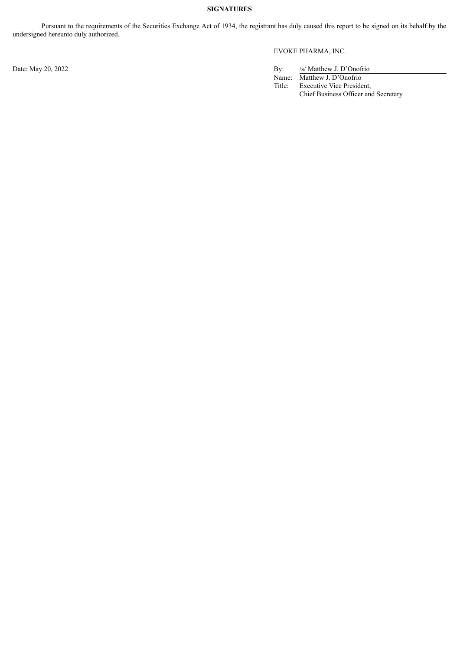## **SIGNATURES**

Pursuant to the requirements of the Securities Exchange Act of 1934, the registrant has duly caused this report to be signed on its behalf by the undersigned hereunto duly authorized.

# EVOKE PHARMA, INC.

Date: May 20, 2022 By: /s/ Matthew J. D'Onofrio

Name: Matthew J. D'Onofrio<br>Title: Executive Vice Preside Executive Vice President, Chief Business Officer and Secretary